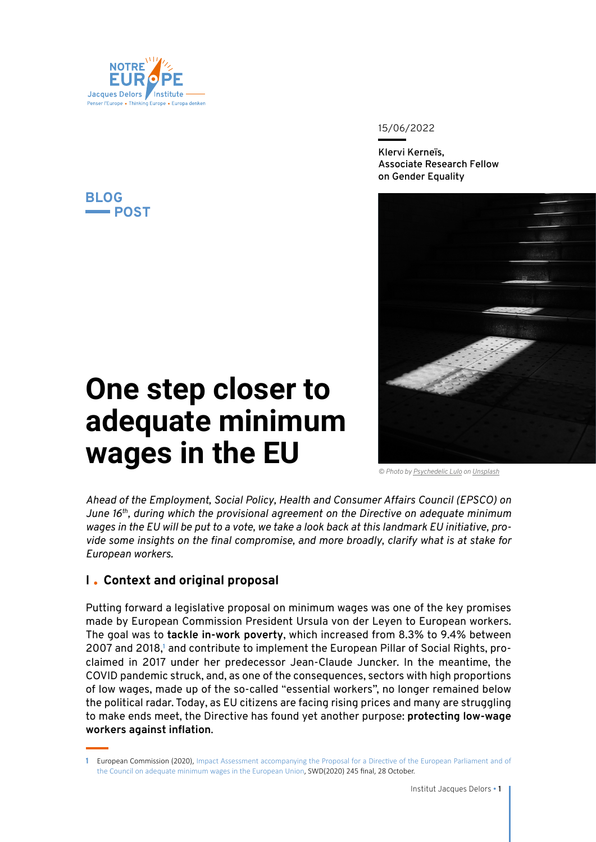

## **BLOG POST**

#### 15/06/2022

**Klervi Kerneïs, Associate Research Fellow on Gender Equality**



# **One step closer to adequate minimum wages in the EU**

*© Photo by [Psychedelic Lulo](https://unsplash.com/@psychedelic_lulo?utm_source=unsplash&utm_medium=referral&utm_content=creditCopyText) on [Unsplash](https://unsplash.com/)*

*Ahead of the Employment, Social Policy, Health and Consumer Affairs Council (EPSCO) on June 16th, during which the provisional agreement on the Directive on adequate minimum wages in the EU will be put to a vote, we take a look back at this landmark EU initiative, provide some insights on the final compromise, and more broadly, clarify what is at stake for European workers.*

# **I Context and original proposal**

Putting forward a legislative proposal on minimum wages was one of the key promises made by European Commission President Ursula von der Leyen to European workers. The goal was to **tackle in-work poverty**, which increased from 8.3% to 9.4% between 2007 and 2018,<sup>1</sup> and contribute to implement the European Pillar of Social Rights, proclaimed in 2017 under her predecessor Jean-Claude Juncker. In the meantime, the COVID pandemic struck, and, as one of the consequences, sectors with high proportions of low wages, made up of the so-called "essential workers", no longer remained below the political radar. Today, as EU citizens are facing rising prices and many are struggling to make ends meet, the Directive has found yet another purpose: **protecting low-wage workers against inflation**.

**<sup>1</sup>** European Commission (2020), [Impact Assessment accompanying the Proposal for a Directive of the European Parliament and of](https://eur-lex.europa.eu/legal-content/EN/TXT/?uri=SWD:2020:245:FIN)  [the Council on adequate minimum wages in the European Union](https://eur-lex.europa.eu/legal-content/EN/TXT/?uri=SWD:2020:245:FIN), SWD(2020) 245 final, 28 October.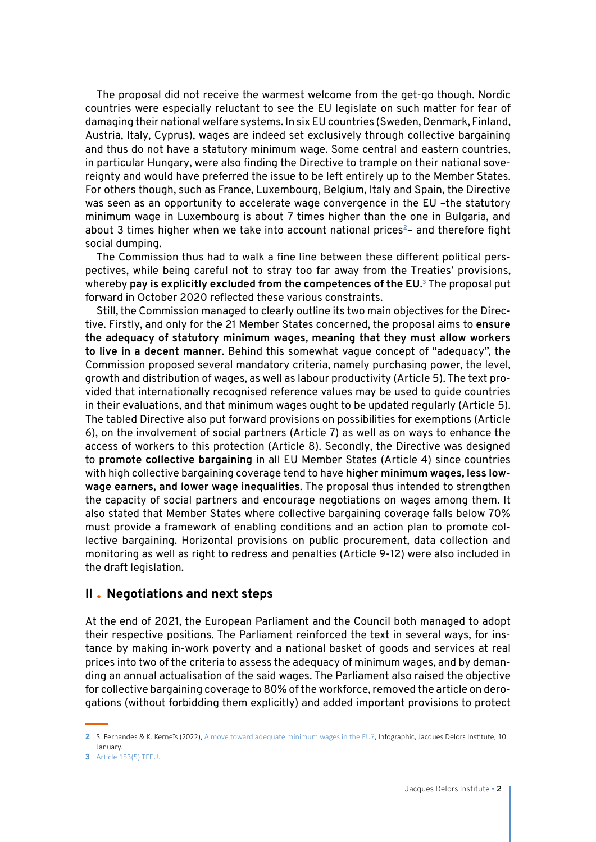The proposal did not receive the warmest welcome from the get-go though. Nordic countries were especially reluctant to see the EU legislate on such matter for fear of damaging their national welfare systems. In six EU countries (Sweden, Denmark, Finland, Austria, Italy, Cyprus), wages are indeed set exclusively through collective bargaining and thus do not have a statutory minimum wage. Some central and eastern countries, in particular Hungary, were also finding the Directive to trample on their national sovereignty and would have preferred the issue to be left entirely up to the Member States. For others though, such as France, Luxembourg, Belgium, Italy and Spain, the Directive was seen as an opportunity to accelerate wage convergence in the EU –the statutory minimum wage in Luxembourg is about 7 times higher than the one in Bulgaria, and about 3 times higher when we take into account national prices**<sup>2</sup>**– and therefore fight social dumping.

The Commission thus had to walk a fine line between these different political perspectives, while being careful not to stray too far away from the Treaties' provisions, whereby **pay is explicitly excluded from the competences of the EU**. **<sup>3</sup>** The proposal put forward in October 2020 reflected these various constraints.

Still, the Commission managed to clearly outline its two main objectives for the Directive. Firstly, and only for the 21 Member States concerned, the proposal aims to **ensure the adequacy of statutory minimum wages, meaning that they must allow workers to live in a decent manner**. Behind this somewhat vague concept of "adequacy", the Commission proposed several mandatory criteria, namely purchasing power, the level, growth and distribution of wages, as well as labour productivity (Article 5). The text provided that internationally recognised reference values may be used to guide countries in their evaluations, and that minimum wages ought to be updated regularly (Article 5). The tabled Directive also put forward provisions on possibilities for exemptions (Article 6), on the involvement of social partners (Article 7) as well as on ways to enhance the access of workers to this protection (Article 8). Secondly, the Directive was designed to **promote collective bargaining** in all EU Member States (Article 4) since countries with high collective bargaining coverage tend to have **higher minimum wages, less lowwage earners, and lower wage inequalities**. The proposal thus intended to strengthen the capacity of social partners and encourage negotiations on wages among them. It also stated that Member States where collective bargaining coverage falls below 70% must provide a framework of enabling conditions and an action plan to promote collective bargaining. Horizontal provisions on public procurement, data collection and monitoring as well as right to redress and penalties (Article 9-12) were also included in the draft legislation.

#### **II Negotiations and next steps**

At the end of 2021, the European Parliament and the Council both managed to adopt their respective positions. The Parliament reinforced the text in several ways, for instance by making in-work poverty and a national basket of goods and services at real prices into two of the criteria to assess the adequacy of minimum wages, and by demanding an annual actualisation of the said wages. The Parliament also raised the objective for collective bargaining coverage to 80% of the workforce, removed the article on derogations (without forbidding them explicitly) and added important provisions to protect

**<sup>2</sup>** S. Fernandes & K. Kerneïs (2022), [A move toward adequate minimum wages in the EU?](https://institutdelors.eu/en/publications/vers-des-salaires-minimum-adequats-dans-lunion-europeenne-2/), Infographic, Jacques Delors Institute, 10 January.

**<sup>3</sup>** [Article 153\(5\) TFEU](https://eur-lex.europa.eu/legal-content/EN/TXT/?uri=CELEX%3A12008E153).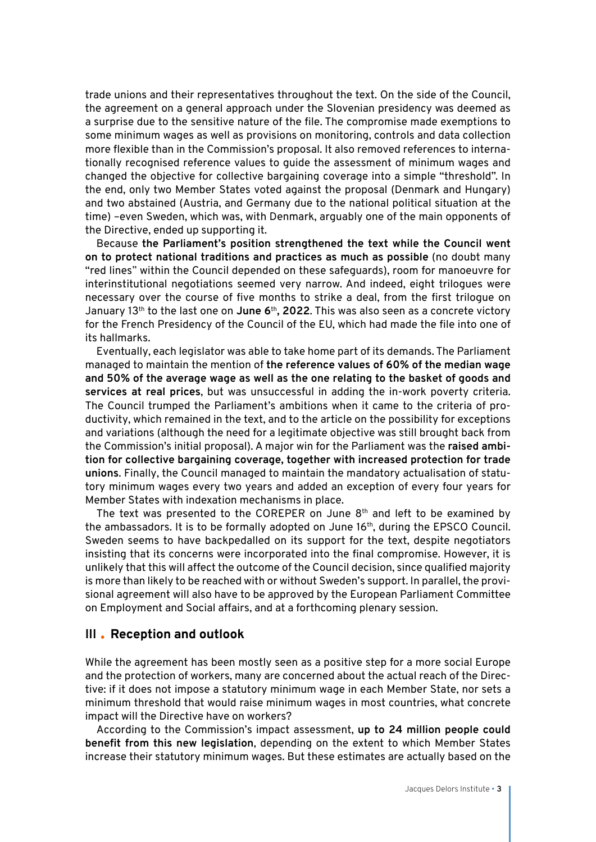trade unions and their representatives throughout the text. On the side of the Council, the agreement on a general approach under the Slovenian presidency was deemed as a surprise due to the sensitive nature of the file. The compromise made exemptions to some minimum wages as well as provisions on monitoring, controls and data collection more flexible than in the Commission's proposal. It also removed references to internationally recognised reference values to guide the assessment of minimum wages and changed the objective for collective bargaining coverage into a simple "threshold". In the end, only two Member States voted against the proposal (Denmark and Hungary) and two abstained (Austria, and Germany due to the national political situation at the time) –even Sweden, which was, with Denmark, arguably one of the main opponents of the Directive, ended up supporting it.

Because **the Parliament's position strengthened the text while the Council went on to protect national traditions and practices as much as possible** (no doubt many "red lines" within the Council depended on these safeguards), room for manoeuvre for interinstitutional negotiations seemed very narrow. And indeed, eight trilogues were necessary over the course of five months to strike a deal, from the first trilogue on January 13th to the last one on **June 6**th**, 2022**. This was also seen as a concrete victory for the French Presidency of the Council of the EU, which had made the file into one of its hallmarks.

Eventually, each legislator was able to take home part of its demands. The Parliament managed to maintain the mention of **the reference values of 60% of the median wage and 50% of the average wage as well as the one relating to the basket of goods and services at real prices**, but was unsuccessful in adding the in-work poverty criteria. The Council trumped the Parliament's ambitions when it came to the criteria of productivity, which remained in the text, and to the article on the possibility for exceptions and variations (although the need for a legitimate objective was still brought back from the Commission's initial proposal). A major win for the Parliament was the **raised ambition for collective bargaining coverage, together with increased protection for trade unions**. Finally, the Council managed to maintain the mandatory actualisation of statutory minimum wages every two years and added an exception of every four years for Member States with indexation mechanisms in place.

The text was presented to the COREPER on June  $8<sup>th</sup>$  and left to be examined by the ambassadors. It is to be formally adopted on June 16<sup>th</sup>, during the EPSCO Council. Sweden seems to have backpedalled on its support for the text, despite negotiators insisting that its concerns were incorporated into the final compromise. However, it is unlikely that this will affect the outcome of the Council decision, since qualified majority is more than likely to be reached with or without Sweden's support. In parallel, the provisional agreement will also have to be approved by the European Parliament Committee on Employment and Social affairs, and at a forthcoming plenary session.

### **III Reception and outlook**

While the agreement has been mostly seen as a positive step for a more social Europe and the protection of workers, many are concerned about the actual reach of the Directive: if it does not impose a statutory minimum wage in each Member State, nor sets a minimum threshold that would raise minimum wages in most countries, what concrete impact will the Directive have on workers?

According to the Commission's impact assessment, **up to 24 million people could benefit from this new legislation**, depending on the extent to which Member States increase their statutory minimum wages. But these estimates are actually based on the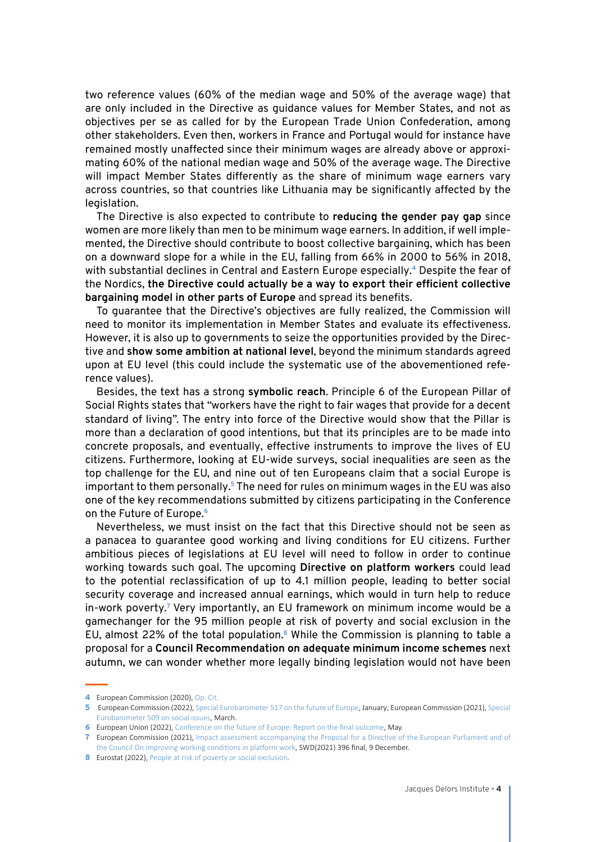two reference values (60% of the median wage and 50% of the average wage) that are only included in the Directive as guidance values for Member States, and not as objectives per se as called for by the European Trade Union Confederation, among other stakeholders. Even then, workers in France and Portugal would for instance have remained mostly unaffected since their minimum wages are already above or approximating 60% of the national median wage and 50% of the average wage. The Directive will impact Member States differently as the share of minimum wage earners vary across countries, so that countries like Lithuania may be significantly affected by the legislation.

The Directive is also expected to contribute to **reducing the gender pay gap** since women are more likely than men to be minimum wage earners. In addition, if well implemented, the Directive should contribute to boost collective bargaining, which has been on a downward slope for a while in the EU, falling from 66% in 2000 to 56% in 2018, with substantial declines in Central and Eastern Europe especially.**<sup>4</sup>** Despite the fear of the Nordics, **the Directive could actually be a way to export their efficient collective bargaining model in other parts of Europe** and spread its benefits.

To guarantee that the Directive's objectives are fully realized, the Commission will need to monitor its implementation in Member States and evaluate its effectiveness. However, it is also up to governments to seize the opportunities provided by the Directive and **show some ambition at national level**, beyond the minimum standards agreed upon at EU level (this could include the systematic use of the abovementioned reference values).

Besides, the text has a strong **symbolic reach**. Principle 6 of the European Pillar of Social Rights states that "workers have the right to fair wages that provide for a decent standard of living". The entry into force of the Directive would show that the Pillar is more than a declaration of good intentions, but that its principles are to be made into concrete proposals, and eventually, effective instruments to improve the lives of EU citizens. Furthermore, looking at EU-wide surveys, social inequalities are seen as the top challenge for the EU, and nine out of ten Europeans claim that a social Europe is important to them personally.**<sup>5</sup>** The need for rules on minimum wages in the EU was also one of the key recommendations submitted by citizens participating in the Conference on the Future of Europe.**<sup>6</sup>**

Nevertheless, we must insist on the fact that this Directive should not be seen as a panacea to guarantee good working and living conditions for EU citizens. Further ambitious pieces of legislations at EU level will need to follow in order to continue working towards such goal. The upcoming **Directive on platform workers** could lead to the potential reclassification of up to 4.1 million people, leading to better social security coverage and increased annual earnings, which would in turn help to reduce in-work poverty.<sup>7</sup> Very importantly, an EU framework on minimum income would be a gamechanger for the 95 million people at risk of poverty and social exclusion in the EU, almost 22% of the total population.**<sup>8</sup>** While the Commission is planning to table a proposal for a **Council Recommendation on adequate minimum income schemes** next autumn, we can wonder whether more legally binding legislation would not have been

**<sup>4</sup>** European Commission (2020), [Op. Cit.](https://eur-lex.europa.eu/legal-content/EN/TXT/?uri=SWD:2020:245:FIN)

**<sup>5</sup>** European Commission (2022), [Special Eurobarometer 517 on the future of Europe](https://europa.eu/eurobarometer/surveys/detail/2554), January; European Commission (2021), [Special](https://europa.eu/eurobarometer/surveys/detail/2266) [Eurobarometer 509 on social issues](https://europa.eu/eurobarometer/surveys/detail/2266), March.

**<sup>6</sup>** European Union (2022), [Conference on the future of Europe: Report on the final outcome,](https://www.europarl.europa.eu/resources/library/media/20220509RES29121/20220509RES29121.pdf) May.

**<sup>7</sup>** European Commission (2021), [Impact assessment accompanying the Proposal for a Directive of the European Parliament and of](https://eur-lex.europa.eu/legal-content/EN/TXT/PDF/?uri=CELEX:52021SC0396(01)&from=EN) [the Council On improving working conditions in platform work](https://eur-lex.europa.eu/legal-content/EN/TXT/PDF/?uri=CELEX:52021SC0396(01)&from=EN), SWD(2021) 396 final, 9 December.

**<sup>8</sup>** Eurostat (2022), [People at risk of poverty or social exclusion](https://ec.europa.eu/eurostat/databrowser/view/sdg_01_10/default/table?lang=en).